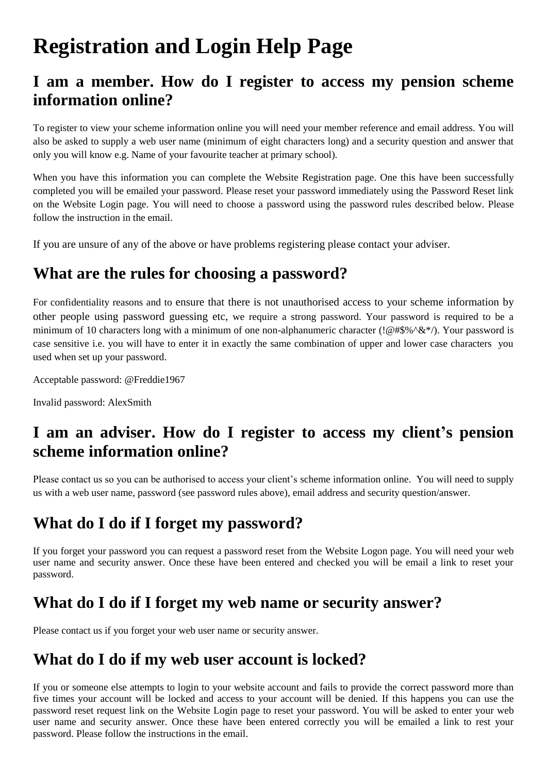# **Registration and Login Help Page**

#### **I am a member. How do I register to access my pension scheme information online?**

To register to view your scheme information online you will need your member reference and email address. You will also be asked to supply a web user name (minimum of eight characters long) and a security question and answer that only you will know e.g. Name of your favourite teacher at primary school).

When you have this information you can complete the Website Registration page. One this have been successfully completed you will be emailed your password. Please reset your password immediately using the Password Reset link on the Website Login page. You will need to choose a password using the password rules described below. Please follow the instruction in the email.

If you are unsure of any of the above or have problems registering please contact your adviser.

#### **What are the rules for choosing a password?**

For confidentiality reasons and to ensure that there is not unauthorised access to your scheme information by other people using password guessing etc, we require a strong password. Your password is required to be a minimum of 10 characters long with a minimum of one non-alphanumeric character ( $\left(\frac{1}{e}\#\$\%\{\&*\}\right)$ . Your password is case sensitive i.e. you will have to enter it in exactly the same combination of upper and lower case characters you used when set up your password.

Acceptable password: @Freddie1967

Invalid password: AlexSmith

#### **I am an adviser. How do I register to access my client's pension scheme information online?**

Please contact us so you can be authorised to access your client's scheme information online. You will need to supply us with a web user name, password (see password rules above), email address and security question/answer.

#### **What do I do if I forget my password?**

If you forget your password you can request a password reset from the Website Logon page. You will need your web user name and security answer. Once these have been entered and checked you will be email a link to reset your password.

#### **What do I do if I forget my web name or security answer?**

Please contact us if you forget your web user name or security answer.

#### **What do I do if my web user account is locked?**

If you or someone else attempts to login to your website account and fails to provide the correct password more than five times your account will be locked and access to your account will be denied. If this happens you can use the password reset request link on the Website Login page to reset your password. You will be asked to enter your web user name and security answer. Once these have been entered correctly you will be emailed a link to rest your password. Please follow the instructions in the email.